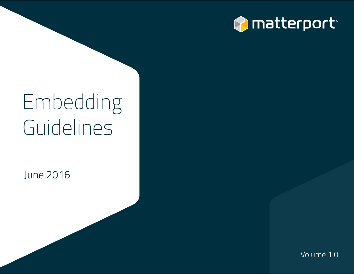

# Embedding Guidelines

June 2016

Volume 1.0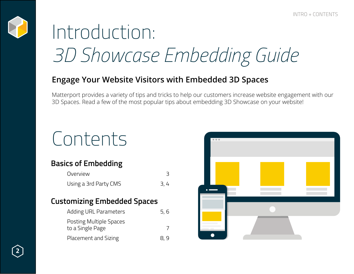

# Introduction: *3D Showcase Embedding Guide*

### **Engage Your Website Visitors with Embedded 3D Spaces**

Matterport provides a variety of tips and tricks to help our customers increase website engagement with our 3D Spaces. Read a few of the most popular tips about embedding 3D Showcase on your website!

# Contents

# **Basics of Embedding**

| Overview              |     |
|-----------------------|-----|
| Using a 3rd Party CMS | 3,4 |

### **Customizing Embedded Spaces**

| Adding URL Parameters          | 5,6 |
|--------------------------------|-----|
| <b>Posting Multiple Spaces</b> |     |
| to a Single Page               |     |
| Placement and Sizing           | 8,9 |

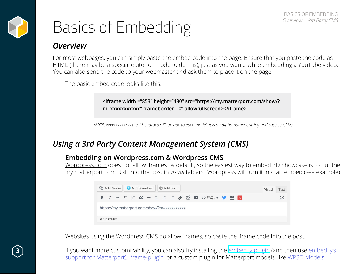

# Basics of Embedding

### *Overview*

For most webpages, you can simply paste the embed code into the page. Ensure that you paste the code as HTML (there may be a special editor or mode to do this), just as you would while embedding a YouTube video. You can also send the code to your webmaster and ask them to place it on the page.

The basic embed code looks like this:

**<iframe width ="853" height="480" src="https://my.matterport.com/show/? m=xxxxxxxxxxx" frameborder="0" allowfullscreen></iframe>**

*NOTE: xxxxxxxxxxx is the 11 character ID unique to each model. It is an alpha-numeric string and case-sensitive.*

### *Using a 3rd Party Content Management System (CMS)*

#### **Embedding on Wordpress.com & Wordpress CMS**

Wordpress.com does not allow iframes by default, so the easiest way to embed 3D Showcase is to put the my.matterport.com URL into the post in *visual* tab and Wordpress will turn it into an embed (see example).



Websites using the Wordpress CMS do allow iframes, so paste the iframe code into the post.

If you want more customizability, you can also try installing the [embed.ly plugin](https://wordpress.org/plugins/embedly/) (and then use embed.ly's [support for Matterport](http://embed.ly/provider/matterport)), [iframe-plugin](https://wordpress.org/plugins/iframe/), or a custom plugin for Matterport models, like [WP3D Models](https://wp3dmodels.com).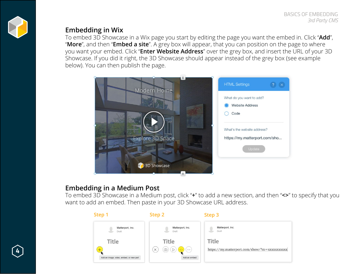

#### **Embedding in Wix**

To embed 3D Showcase in a Wix page you start by editing the page you want the embed in. Click "**Add**", "**More**", and then "**Embed a site**". A grey box will appear, that you can position on the page to where you want your embed. Click "**Enter Website Address**" over the grey box, and insert the URL of your 3D Showcase. If you did it right, the 3D Showcase should appear instead of the grey box (see example below). You can then publish the page.



#### **Embedding in a Medium Post**

**4**

To embed 3D Showcase in a Medium post, click "**+**" to add a new section, and then "**<>**" to specify that you want to add an embed. Then paste in your 3D Showcase URL address.

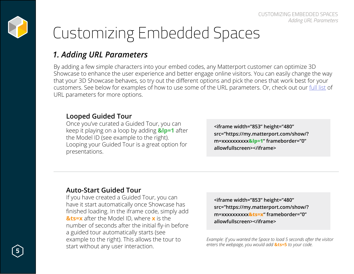

# Customizing Embedded Spaces

### *1. Adding URL Parameters*

By adding a few simple characters into your embed codes, any Matterport customer can optimize 3D Showcase to enhance the user experience and better engage online visitors. You can easily change the way that your 3D Showcase behaves, so try out the different options and pick the ones that work best for your customers. See below for examples of how to use some of the URL parameters. Or, check out our [full list](https://support.matterport.com/hc/en-us/articles/209980967-How-can-I-customize-viewing-of-my-embedded-models) of URL parameters for more options.

#### **Looped Guided Tour**

Once you've curated a Guided Tour, you can keep it playing on a loop by adding **&lp=1** after the Model ID (see example to the right). Looping your Guided Tour is a great option for presentations.

**<iframe width="853" height="480" src="https://my.matterport.com/show/? m=xxxxxxxxxx&lp=1" frameborder="0" allowfullscreen></iframe>**

#### **Auto-Start Guided Tour**

If you have created a Guided Tour, you can have it start automatically once Showcase has finished loading. In the iframe code, simply add **&ts=x** after the Model ID, where **x** is the number of seconds after the initial fly-in before a guided tour automatically starts (see example to the right). This allows the tour to start without any user interaction.

**<iframe width="853" height="480" src="https://my.matterport.com/show/? m=xxxxxxxxxx&ts=x" frameborder="0" allowfullscreen></iframe>**

*Example: if you wanted the Space to load 5 seconds after the visitor enters the webpage, you would add* **&ts=5** *to your code.*

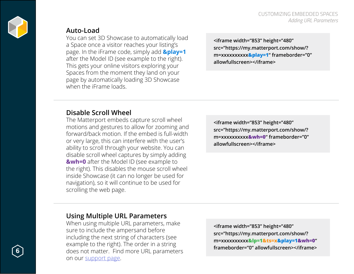

#### **Auto-Load**

You can set 3D Showcase to automatically load a Space once a visitor reaches your listing's page. In the iFrame code, simply add **&play=1** after the Model ID (see example to the right). This gets your online visitors exploring your Spaces from the moment they land on your page by automatically loading 3D Showcase when the iFrame loads

**<iframe width="853" height="480" src="https://my.matterport.com/show/? m=xxxxxxxxxx&play=1" frameborder="0" allowfullscreen></iframe>**

#### **Disable Scroll Wheel**

The Matterport embeds capture scroll wheel motions and gestures to allow for zooming and forward/back motion. If the embed is full-width or very large, this can interfere with the user's ability to scroll through your website. You can disable scroll wheel captures by simply adding **&wh=0** after the Model ID (see example to the right). This disables the mouse scroll wheel inside Showcase (it can no longer be used for navigation), so it will continue to be used for scrolling the web page.

**<iframe width="853" height="480" src="https://my.matterport.com/show/? m=xxxxxxxxxx&wh=0" frameborder="0" allowfullscreen></iframe>**

#### **Using Multiple URL Parameters**

When using multiple URL parameters, make sure to include the ampersand before including the next string of characters (see example to the right). The order in a string does not matter. Find more URL parameters on our [support page.](https://support.matterport.com/hc/en-us/articles/209980967-How-can-I-customize-viewing-of-my-embedded-models)

**<iframe width="853" height="480" src="https://my.matterport.com/show/? m=xxxxxxxxxx&lp=1&ts=x&play=1&wh=0" frameborder="0" allowfullscreen></iframe>**

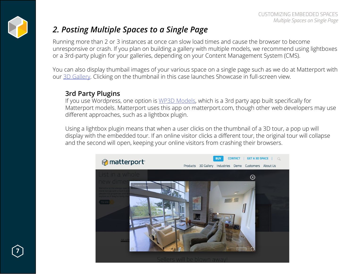

## *2. Posting Multiple Spaces to a Single Page*

Running more than 2 or 3 instances at once can slow load times and cause the browser to become unresponsive or crash. If you plan on building a gallery with multiple models, we recommend using lightboxes or a 3rd-party plugin for your galleries, depending on your Content Management System (CMS).

You can also display thumbail images of your various space on a single page such as we do at Matterport with our [3D Gallery](https://matterport.com/gallery/). Clicking on the thumbnail in this case launches Showcase in full-screen view.

#### **3rd Party Plugins**

If you use Wordpress, one option is [WP3D Models](https://wp3dmodels.com), which is a 3rd party app built specifically for Matterport models. Matterport uses this app on matterport.com, though other web developers may use different approaches, such as a lightbox plugin.

Using a lightbox plugin means that when a user clicks on the thumbnail of a 3D tour, a pop up will display with the embedded tour. If an online visitor clicks a different tour, the original tour will collapse and the second will open, keeping your online visitors from crashing their browsers.



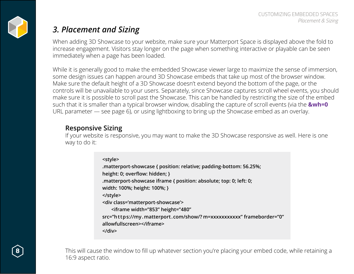

# *3. Placement and Sizing*

When adding 3D Showcase to your website, make sure your Matterport Space is displayed above the fold to increase engagement. Visitors stay longer on the page when something interactive or playable can be seen immediately when a page has been loaded.

While it is generally good to make the embedded Showcase viewer large to maximize the sense of immersion, some design issues can happen around 3D Showcase embeds that take up most of the browser window. Make sure the default height of a 3D Showcase doesn't extend beyond the bottom of the page, or the controls will be unavailable to your users. Separately, since Showcase captures scroll wheel events, you should make sure it is possible to scroll past the Showcase. This can be handled by restricting the size of the embed such that it is smaller than a typical browser window, disabling the capture of scroll events (via the **&wh=0**  URL parameter — see page 6), or using lightboxing to bring up the Showcase embed as an overlay.

#### **Responsive Sizing**

If your website is responsive, you may want to make the 3D Showcase responsive as well. Here is one way to do it:

# **<style>**

**.matterport-showcase { position: relative; padding-bottom: 56.25%; height: 0; overflow: hidden; } .matterport-showcase iframe { position: absolute; top: 0; left: 0; width: 100%; height: 100%; } </style> <div class='matterport-showcase'>**

 **<iframe width="853" height="480"**

**src="https://my.matterport.com/show/? m=xxxxxxxxxxx" frameborder="0"**

**allowfullscreen></iframe>**

**</div>**

This will cause the window to fill up whatever section you're placing your embed code, while retaining a 16:9 aspect ratio.